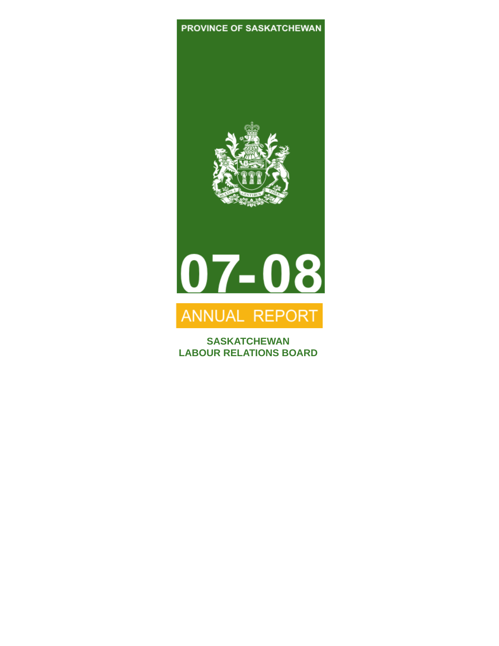### PROVINCE OF SASKATCHEWAN





## ANNUAL REPORT

**SASKATCHEWAN LABOUR RELATIONS BOARD**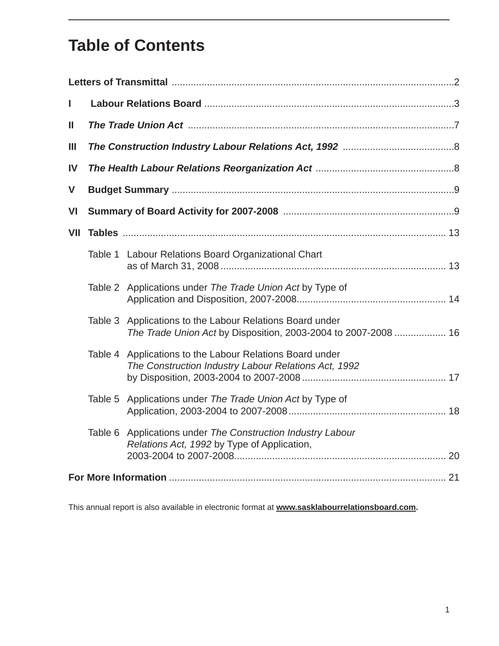### **Table of Contents**

| I   |         |                                                                                                                            |  |  |  |  |
|-----|---------|----------------------------------------------------------------------------------------------------------------------------|--|--|--|--|
| Ш   |         |                                                                                                                            |  |  |  |  |
| Ш   |         |                                                                                                                            |  |  |  |  |
| IV  |         |                                                                                                                            |  |  |  |  |
| V   |         |                                                                                                                            |  |  |  |  |
| VI  |         |                                                                                                                            |  |  |  |  |
| VII |         |                                                                                                                            |  |  |  |  |
|     |         | Table 1 Labour Relations Board Organizational Chart                                                                        |  |  |  |  |
|     |         | Table 2 Applications under The Trade Union Act by Type of                                                                  |  |  |  |  |
|     |         | Table 3 Applications to the Labour Relations Board under<br>The Trade Union Act by Disposition, 2003-2004 to 2007-2008  16 |  |  |  |  |
|     |         | Table 4 Applications to the Labour Relations Board under<br>The Construction Industry Labour Relations Act, 1992           |  |  |  |  |
|     | Table 5 | Applications under The Trade Union Act by Type of                                                                          |  |  |  |  |
|     | Table 6 | Applications under The Construction Industry Labour<br>Relations Act, 1992 by Type of Application,                         |  |  |  |  |
|     |         |                                                                                                                            |  |  |  |  |

This annual report is also available in electronic format at **www.sasklabourrelationsboard.com.**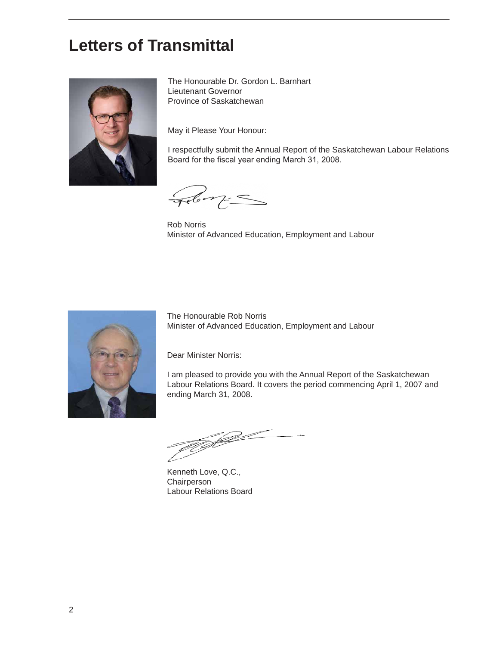### **Letters of Transmittal**



The Honourable Dr. Gordon L. Barnhart Lieutenant Governor Province of Saskatchewan

May it Please Your Honour:

I respectfully submit the Annual Report of the Saskatchewan Labour Relations Board for the fiscal year ending March 31, 2008.

Feb m=

Rob Norris Minister of Advanced Education, Employment and Labour



The Honourable Rob Norris Minister of Advanced Education, Employment and Labour

Dear Minister Norris:

I am pleased to provide you with the Annual Report of the Saskatchewan Labour Relations Board. It covers the period commencing April 1, 2007 and ending March 31, 2008.

W J

Kenneth Love, Q.C., **Chairperson** Labour Relations Board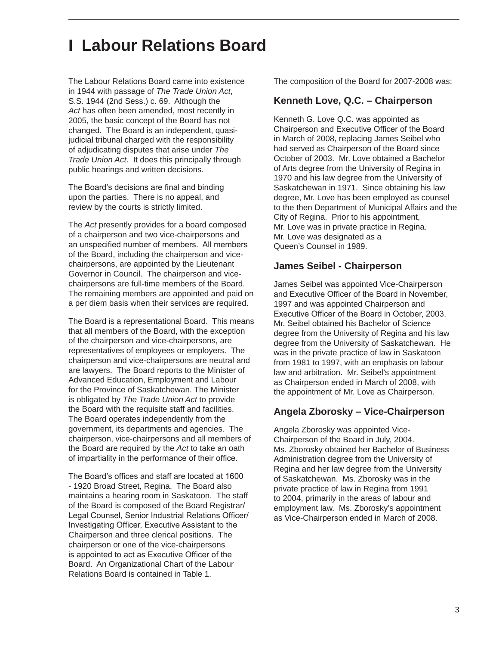### **I Labour Relations Board**

The Labour Relations Board came into existence in 1944 with passage of *The Trade Union Act*, S.S. 1944 (2nd Sess.) c. 69. Although the *Act* has often been amended, most recently in 2005, the basic concept of the Board has not changed. The Board is an independent, quasijudicial tribunal charged with the responsibility of adjudicating disputes that arise under *The Trade Union Act*. It does this principally through public hearings and written decisions.

The Board's decisions are final and binding upon the parties. There is no appeal, and review by the courts is strictly limited.

The *Act* presently provides for a board composed of a chairperson and two vice-chairpersons and an unspecified number of members. All members of the Board, including the chairperson and vicechairpersons, are appointed by the Lieutenant Governor in Council. The chairperson and vicechairpersons are full-time members of the Board. The remaining members are appointed and paid on a per diem basis when their services are required.

The Board is a representational Board. This means that all members of the Board, with the exception of the chairperson and vice-chairpersons, are representatives of employees or employers. The chairperson and vice-chairpersons are neutral and are lawyers. The Board reports to the Minister of Advanced Education, Employment and Labour for the Province of Saskatchewan. The Minister is obligated by *The Trade Union Act* to provide the Board with the requisite staff and facilities. The Board operates independently from the government, its departments and agencies. The chairperson, vice-chairpersons and all members of the Board are required by the *Act* to take an oath of impartiality in the performance of their office.

The Board's offices and staff are located at 1600 - 1920 Broad Street, Regina. The Board also maintains a hearing room in Saskatoon. The staff of the Board is composed of the Board Registrar/ Legal Counsel, Senior Industrial Relations Officer/ Investigating Officer, Executive Assistant to the Chairperson and three clerical positions. The chairperson or one of the vice-chairpersons is appointed to act as Executive Officer of the Board. An Organizational Chart of the Labour Relations Board is contained in Table 1.

The composition of the Board for 2007-2008 was:

#### **Kenneth Love, Q.C. – Chairperson**

Kenneth G. Love Q.C. was appointed as Chairperson and Executive Officer of the Board in March of 2008, replacing James Seibel who had served as Chairperson of the Board since October of 2003. Mr. Love obtained a Bachelor of Arts degree from the University of Regina in 1970 and his law degree from the University of Saskatchewan in 1971. Since obtaining his law degree, Mr. Love has been employed as counsel to the then Department of Municipal Affairs and the City of Regina. Prior to his appointment, Mr. Love was in private practice in Regina. Mr. Love was designated as a Queen's Counsel in 1989.

#### **James Seibel - Chairperson**

James Seibel was appointed Vice-Chairperson and Executive Officer of the Board in November, 1997 and was appointed Chairperson and Executive Officer of the Board in October, 2003. Mr. Seibel obtained his Bachelor of Science degree from the University of Regina and his law degree from the University of Saskatchewan. He was in the private practice of law in Saskatoon from 1981 to 1997, with an emphasis on labour law and arbitration. Mr. Seibel's appointment as Chairperson ended in March of 2008, with the appointment of Mr. Love as Chairperson.

#### **Angela Zborosky – Vice-Chairperson**

Angela Zborosky was appointed Vice-Chairperson of the Board in July, 2004. Ms. Zborosky obtained her Bachelor of Business Administration degree from the University of Regina and her law degree from the University of Saskatchewan. Ms. Zborosky was in the private practice of law in Regina from 1991 to 2004, primarily in the areas of labour and employment law. Ms. Zborosky's appointment as Vice-Chairperson ended in March of 2008.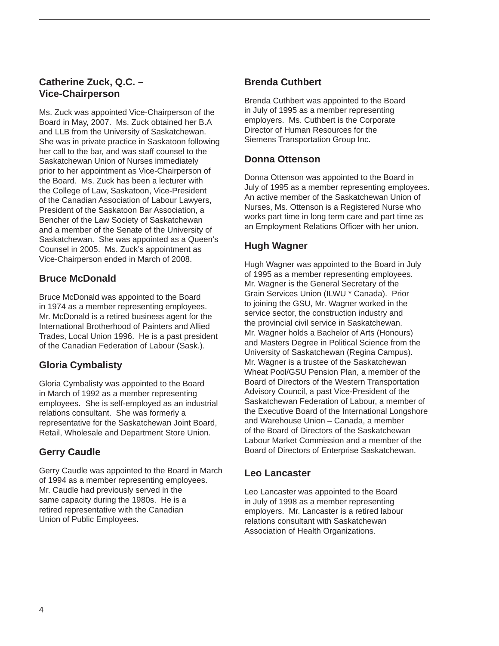### **Catherine Zuck, Q.C. – Vice-Chairperson**

Ms. Zuck was appointed Vice-Chairperson of the Board in May, 2007. Ms. Zuck obtained her B.A and LLB from the University of Saskatchewan. She was in private practice in Saskatoon following her call to the bar, and was staff counsel to the Saskatchewan Union of Nurses immediately prior to her appointment as Vice-Chairperson of the Board. Ms. Zuck has been a lecturer with the College of Law, Saskatoon, Vice-President of the Canadian Association of Labour Lawyers, President of the Saskatoon Bar Association, a Bencher of the Law Society of Saskatchewan and a member of the Senate of the University of Saskatchewan. She was appointed as a Queen's Counsel in 2005. Ms. Zuck's appointment as Vice-Chairperson ended in March of 2008.

### **Bruce McDonald**

Bruce McDonald was appointed to the Board in 1974 as a member representing employees. Mr. McDonald is a retired business agent for the International Brotherhood of Painters and Allied Trades, Local Union 1996. He is a past president of the Canadian Federation of Labour (Sask.).

### **Gloria Cymbalisty**

Gloria Cymbalisty was appointed to the Board in March of 1992 as a member representing employees. She is self-employed as an industrial relations consultant. She was formerly a representative for the Saskatchewan Joint Board, Retail, Wholesale and Department Store Union.

### **Gerry Caudle**

Gerry Caudle was appointed to the Board in March of 1994 as a member representing employees. Mr. Caudle had previously served in the same capacity during the 1980s. He is a retired representative with the Canadian Union of Public Employees.

### **Brenda Cuthbert**

Brenda Cuthbert was appointed to the Board in July of 1995 as a member representing employers. Ms. Cuthbert is the Corporate Director of Human Resources for the Siemens Transportation Group Inc.

### **Donna Ottenson**

Donna Ottenson was appointed to the Board in July of 1995 as a member representing employees. An active member of the Saskatchewan Union of Nurses, Ms. Ottenson is a Registered Nurse who works part time in long term care and part time as an Employment Relations Officer with her union.

### **Hugh Wagner**

Hugh Wagner was appointed to the Board in July of 1995 as a member representing employees. Mr. Wagner is the General Secretary of the Grain Services Union (ILWU \* Canada). Prior to joining the GSU, Mr. Wagner worked in the service sector, the construction industry and the provincial civil service in Saskatchewan. Mr. Wagner holds a Bachelor of Arts (Honours) and Masters Degree in Political Science from the University of Saskatchewan (Regina Campus). Mr. Wagner is a trustee of the Saskatchewan Wheat Pool/GSU Pension Plan, a member of the Board of Directors of the Western Transportation Advisory Council, a past Vice-President of the Saskatchewan Federation of Labour, a member of the Executive Board of the International Longshore and Warehouse Union – Canada, a member of the Board of Directors of the Saskatchewan Labour Market Commission and a member of the Board of Directors of Enterprise Saskatchewan.

### **Leo Lancaster**

Leo Lancaster was appointed to the Board in July of 1998 as a member representing employers. Mr. Lancaster is a retired labour relations consultant with Saskatchewan Association of Health Organizations.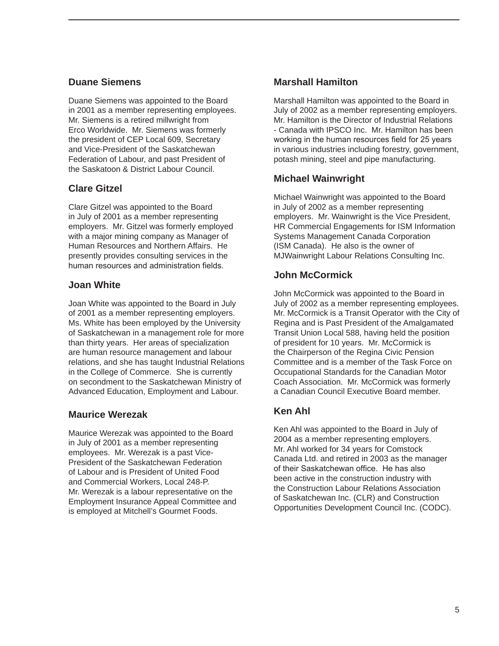### **Duane Siemens**

Duane Siemens was appointed to the Board in 2001 as a member representing employees. Mr. Siemens is a retired millwright from Erco Worldwide. Mr. Siemens was formerly the president of CEP Local 609, Secretary and Vice-President of the Saskatchewan Federation of Labour, and past President of the Saskatoon & District Labour Council.

### **Clare Gitzel**

Clare Gitzel was appointed to the Board in July of 2001 as a member representing employers. Mr. Gitzel was formerly employed with a major mining company as Manager of Human Resources and Northern Affairs. He presently provides consulting services in the human resources and administration fields.

### **Joan White**

Joan White was appointed to the Board in July of 2001 as a member representing employers. Ms. White has been employed by the University of Saskatchewan in a management role for more than thirty years. Her areas of specialization are human resource management and labour relations, and she has taught Industrial Relations in the College of Commerce. She is currently on secondment to the Saskatchewan Ministry of Advanced Education, Employment and Labour.

### **Maurice Werezak**

Maurice Werezak was appointed to the Board in July of 2001 as a member representing employees. Mr. Werezak is a past Vice-President of the Saskatchewan Federation of Labour and is President of United Food and Commercial Workers, Local 248-P. Mr. Werezak is a labour representative on the Employment Insurance Appeal Committee and is employed at Mitchell's Gourmet Foods.

### **Marshall Hamilton**

Marshall Hamilton was appointed to the Board in July of 2002 as a member representing employers. Mr. Hamilton is the Director of Industrial Relations - Canada with IPSCO Inc. Mr. Hamilton has been working in the human resources field for 25 years in various industries including forestry, government, potash mining, steel and pipe manufacturing.

### **Michael Wainwright**

Michael Wainwright was appointed to the Board in July of 2002 as a member representing employers. Mr. Wainwright is the Vice President, HR Commercial Engagements for ISM Information Systems Management Canada Corporation (ISM Canada). He also is the owner of MJWainwright Labour Relations Consulting Inc.

### **John McCormick**

John McCormick was appointed to the Board in July of 2002 as a member representing employees. Mr. McCormick is a Transit Operator with the City of Regina and is Past President of the Amalgamated Transit Union Local 588, having held the position of president for 10 years. Mr. McCormick is the Chairperson of the Regina Civic Pension Committee and is a member of the Task Force on Occupational Standards for the Canadian Motor Coach Association. Mr. McCormick was formerly a Canadian Council Executive Board member.

### **Ken Ahl**

Ken Ahl was appointed to the Board in July of 2004 as a member representing employers. Mr. Ahl worked for 34 years for Comstock Canada Ltd. and retired in 2003 as the manager of their Saskatchewan office. He has also been active in the construction industry with the Construction Labour Relations Association of Saskatchewan Inc. (CLR) and Construction Opportunities Development Council Inc. (CODC).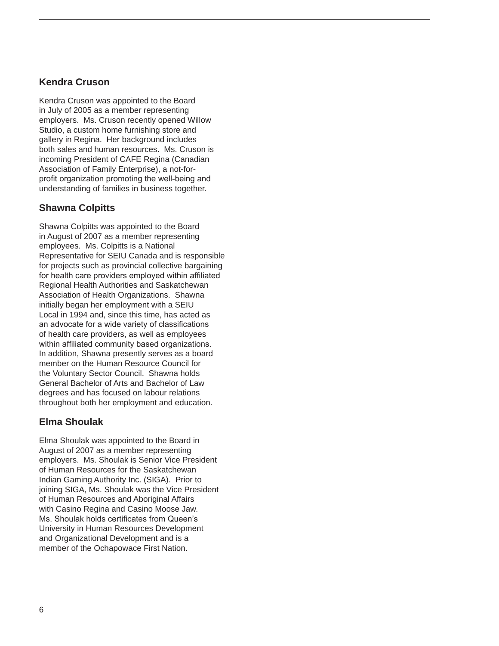### **Kendra Cruson**

Kendra Cruson was appointed to the Board in July of 2005 as a member representing employers. Ms. Cruson recently opened Willow Studio, a custom home furnishing store and gallery in Regina. Her background includes both sales and human resources. Ms. Cruson is incoming President of CAFE Regina (Canadian Association of Family Enterprise), a not-forprofit organization promoting the well-being and understanding of families in business together.

### **Shawna Colpitts**

Shawna Colpitts was appointed to the Board in August of 2007 as a member representing employees. Ms. Colpitts is a National Representative for SEIU Canada and is responsible for projects such as provincial collective bargaining for health care providers employed within affiliated Regional Health Authorities and Saskatchewan Association of Health Organizations. Shawna initially began her employment with a SEIU Local in 1994 and, since this time, has acted as an advocate for a wide variety of classifications of health care providers, as well as employees within affiliated community based organizations. In addition, Shawna presently serves as a board member on the Human Resource Council for the Voluntary Sector Council. Shawna holds General Bachelor of Arts and Bachelor of Law degrees and has focused on labour relations throughout both her employment and education.

### **Elma Shoulak**

Elma Shoulak was appointed to the Board in August of 2007 as a member representing employers. Ms. Shoulak is Senior Vice President of Human Resources for the Saskatchewan Indian Gaming Authority Inc. (SIGA). Prior to joining SIGA, Ms. Shoulak was the Vice President of Human Resources and Aboriginal Affairs with Casino Regina and Casino Moose Jaw. Ms. Shoulak holds certificates from Queen's University in Human Resources Development and Organizational Development and is a member of the Ochapowace First Nation.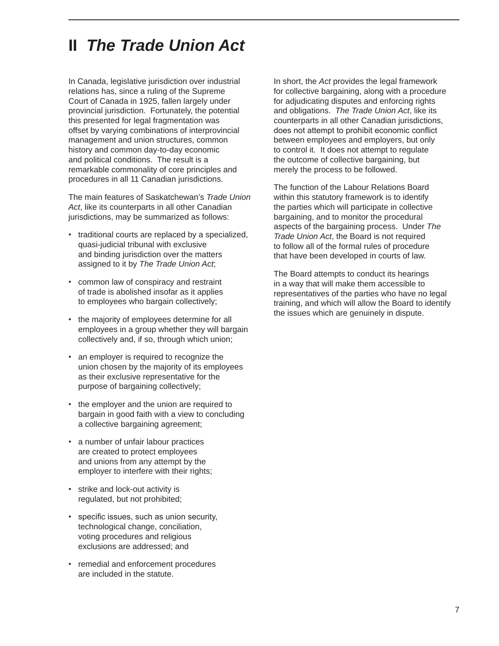### **II** *The Trade Union Act*

In Canada, legislative jurisdiction over industrial relations has, since a ruling of the Supreme Court of Canada in 1925, fallen largely under provincial jurisdiction. Fortunately, the potential this presented for legal fragmentation was offset by varying combinations of interprovincial management and union structures, common history and common day-to-day economic and political conditions. The result is a remarkable commonality of core principles and procedures in all 11 Canadian jurisdictions.

The main features of Saskatchewan's *Trade Union Act*, like its counterparts in all other Canadian jurisdictions, may be summarized as follows:

- traditional courts are replaced by a specialized, quasi-judicial tribunal with exclusive and binding jurisdiction over the matters assigned to it by *The Trade Union Act*;
- common law of conspiracy and restraint of trade is abolished insofar as it applies to employees who bargain collectively;
- the majority of employees determine for all employees in a group whether they will bargain collectively and, if so, through which union;
- an employer is required to recognize the union chosen by the majority of its employees as their exclusive representative for the purpose of bargaining collectively;
- the employer and the union are required to bargain in good faith with a view to concluding a collective bargaining agreement;
- a number of unfair labour practices are created to protect employees and unions from any attempt by the employer to interfere with their rights;
- strike and lock-out activity is regulated, but not prohibited;
- specific issues, such as union security, technological change, conciliation, voting procedures and religious exclusions are addressed; and
- remedial and enforcement procedures are included in the statute.

In short, the *Act* provides the legal framework for collective bargaining, along with a procedure for adjudicating disputes and enforcing rights and obligations. *The Trade Union Act*, like its counterparts in all other Canadian jurisdictions, does not attempt to prohibit economic conflict between employees and employers, but only to control it. It does not attempt to regulate the outcome of collective bargaining, but merely the process to be followed.

The function of the Labour Relations Board within this statutory framework is to identify the parties which will participate in collective bargaining, and to monitor the procedural aspects of the bargaining process. Under *The Trade Union Act*, the Board is not required to follow all of the formal rules of procedure that have been developed in courts of law.

The Board attempts to conduct its hearings in a way that will make them accessible to representatives of the parties who have no legal training, and which will allow the Board to identify the issues which are genuinely in dispute.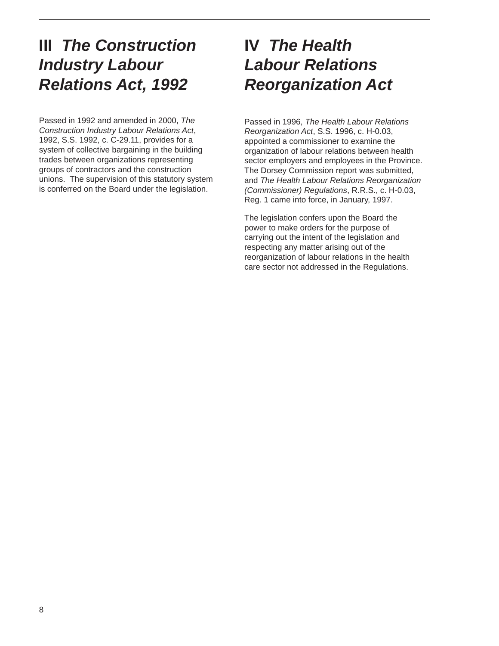### **III** *The Construction Industry Labour Relations Act, 1992*

Passed in 1992 and amended in 2000, *The Construction Industry Labour Relations Act*, 1992, S.S. 1992, c. C-29.11, provides for a system of collective bargaining in the building trades between organizations representing groups of contractors and the construction unions. The supervision of this statutory system is conferred on the Board under the legislation.

### **IV** *The Health Labour Relations Reorganization Act*

Passed in 1996, *The Health Labour Relations Reorganization Act*, S.S. 1996, c. H-0.03, appointed a commissioner to examine the organization of labour relations between health sector employers and employees in the Province. The Dorsey Commission report was submitted, and *The Health Labour Relations Reorganization (Commissioner) Regulations*, R.R.S., c. H-0.03, Reg. 1 came into force, in January, 1997.

The legislation confers upon the Board the power to make orders for the purpose of carrying out the intent of the legislation and respecting any matter arising out of the reorganization of labour relations in the health care sector not addressed in the Regulations.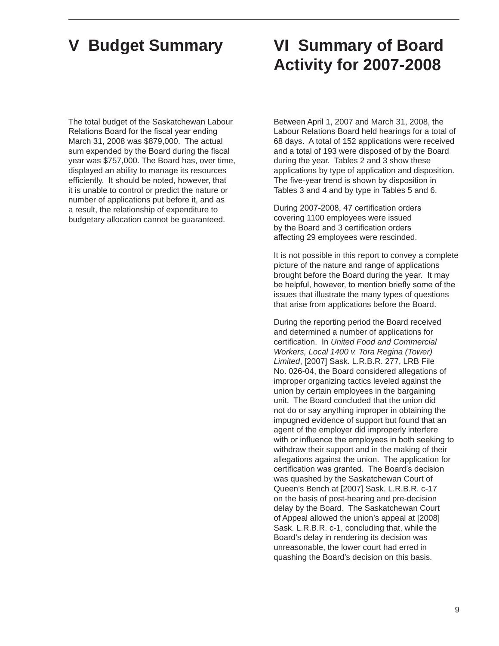The total budget of the Saskatchewan Labour Relations Board for the fiscal year ending March 31, 2008 was \$879,000. The actual sum expended by the Board during the fiscal year was \$757,000. The Board has, over time, displayed an ability to manage its resources efficiently. It should be noted, however, that it is unable to control or predict the nature or number of applications put before it, and as a result, the relationship of expenditure to budgetary allocation cannot be guaranteed.

### **V Budget Summary VI Summary of Board Activity for 2007-2008**

Between April 1, 2007 and March 31, 2008, the Labour Relations Board held hearings for a total of 68 days. A total of 152 applications were received and a total of 193 were disposed of by the Board during the year. Tables 2 and 3 show these applications by type of application and disposition. The five-year trend is shown by disposition in Tables 3 and 4 and by type in Tables 5 and 6.

During 2007-2008, 47 certification orders covering 1100 employees were issued by the Board and 3 certification orders affecting 29 employees were rescinded.

It is not possible in this report to convey a complete picture of the nature and range of applications brought before the Board during the year. It may be helpful, however, to mention briefly some of the issues that illustrate the many types of questions that arise from applications before the Board.

During the reporting period the Board received and determined a number of applications for certification. In *United Food and Commercial Workers, Local 1400 v. Tora Regina (Tower) Limited*, [2007] Sask. L.R.B.R. 277, LRB File No. 026-04, the Board considered allegations of improper organizing tactics leveled against the union by certain employees in the bargaining unit. The Board concluded that the union did not do or say anything improper in obtaining the impugned evidence of support but found that an agent of the employer did improperly interfere with or influence the employees in both seeking to withdraw their support and in the making of their allegations against the union. The application for certification was granted. The Board's decision was quashed by the Saskatchewan Court of Queen's Bench at [2007] Sask. L.R.B.R. c-17 on the basis of post-hearing and pre-decision delay by the Board. The Saskatchewan Court of Appeal allowed the union's appeal at [2008] Sask. L.R.B.R. c-1, concluding that, while the Board's delay in rendering its decision was unreasonable, the lower court had erred in quashing the Board's decision on this basis.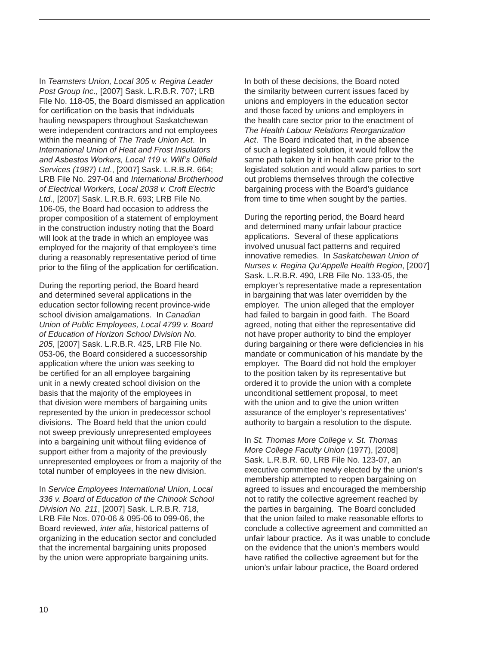In *Teamsters Union, Local 305 v. Regina Leader Post Group Inc*., [2007] Sask. L.R.B.R. 707; LRB File No. 118-05, the Board dismissed an application for certification on the basis that individuals hauling newspapers throughout Saskatchewan were independent contractors and not employees within the meaning of *The Trade Union Act*. In *International Union of Heat and Frost Insulators and Asbestos Workers, Local 119 v. Wilf's Oilfield Services (1987) Ltd*., [2007] Sask. L.R.B.R. 664; LRB File No. 297-04 and *International Brotherhood of Electrical Workers, Local 2038 v. Croft Electric Ltd*., [2007] Sask. L.R.B.R. 693; LRB File No. 106-05, the Board had occasion to address the proper composition of a statement of employment in the construction industry noting that the Board will look at the trade in which an employee was employed for the majority of that employee's time during a reasonably representative period of time prior to the filing of the application for certification.

During the reporting period, the Board heard and determined several applications in the education sector following recent province-wide school division amalgamations. In *Canadian Union of Public Employees, Local 4799 v. Board of Education of Horizon School Division No. 205*, [2007] Sask. L.R.B.R. 425, LRB File No. 053-06, the Board considered a successorship application where the union was seeking to be certified for an all employee bargaining unit in a newly created school division on the basis that the majority of the employees in that division were members of bargaining units represented by the union in predecessor school divisions. The Board held that the union could not sweep previously unrepresented employees into a bargaining unit without filing evidence of support either from a majority of the previously unrepresented employees or from a majority of the total number of employees in the new division.

In *Service Employees International Union, Local 336 v. Board of Education of the Chinook School Division No. 211*, [2007] Sask. L.R.B.R. 718, LRB File Nos. 070-06 & 095-06 to 099-06, the Board reviewed, *inter alia*, historical patterns of organizing in the education sector and concluded that the incremental bargaining units proposed by the union were appropriate bargaining units.

In both of these decisions, the Board noted the similarity between current issues faced by unions and employers in the education sector and those faced by unions and employers in the health care sector prior to the enactment of *The Health Labour Relations Reorganization Act*. The Board indicated that, in the absence of such a legislated solution, it would follow the same path taken by it in health care prior to the legislated solution and would allow parties to sort out problems themselves through the collective bargaining process with the Board's guidance from time to time when sought by the parties.

During the reporting period, the Board heard and determined many unfair labour practice applications. Several of these applications involved unusual fact patterns and required innovative remedies. In *Saskatchewan Union of Nurses v. Regina Qu'Appelle Health Region*, [2007] Sask. L.R.B.R. 490, LRB File No. 133-05, the employer's representative made a representation in bargaining that was later overridden by the employer. The union alleged that the employer had failed to bargain in good faith. The Board agreed, noting that either the representative did not have proper authority to bind the employer during bargaining or there were deficiencies in his mandate or communication of his mandate by the employer. The Board did not hold the employer to the position taken by its representative but ordered it to provide the union with a complete unconditional settlement proposal, to meet with the union and to give the union written assurance of the employer's representatives' authority to bargain a resolution to the dispute.

In *St. Thomas More College v. St. Thomas More College Faculty Union* (1977), [2008] Sask. L.R.B.R. 60, LRB File No. 123-07, an executive committee newly elected by the union's membership attempted to reopen bargaining on agreed to issues and encouraged the membership not to ratify the collective agreement reached by the parties in bargaining. The Board concluded that the union failed to make reasonable efforts to conclude a collective agreement and committed an unfair labour practice. As it was unable to conclude on the evidence that the union's members would have ratified the collective agreement but for the union's unfair labour practice, the Board ordered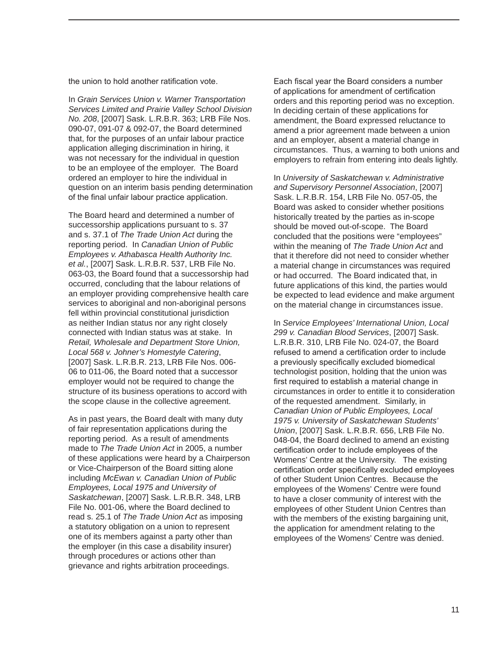the union to hold another ratification vote.

In *Grain Services Union v. Warner Transportation Services Limited and Prairie Valley School Division No. 208*, [2007] Sask. L.R.B.R. 363; LRB File Nos. 090-07, 091-07 & 092-07, the Board determined that, for the purposes of an unfair labour practice application alleging discrimination in hiring, it was not necessary for the individual in question to be an employee of the employer. The Board ordered an employer to hire the individual in question on an interim basis pending determination of the final unfair labour practice application.

The Board heard and determined a number of successorship applications pursuant to s. 37 and s. 37.1 of *The Trade Union Act* during the reporting period. In *Canadian Union of Public Employees v. Athabasca Health Authority Inc. et al.*, [2007] Sask. L.R.B.R. 537, LRB File No. 063-03, the Board found that a successorship had occurred, concluding that the labour relations of an employer providing comprehensive health care services to aboriginal and non-aboriginal persons fell within provincial constitutional jurisdiction as neither Indian status nor any right closely connected with Indian status was at stake. In *Retail, Wholesale and Department Store Union, Local 568 v. Johner's Homestyle Catering*, [2007] Sask. L.R.B.R. 213, LRB File Nos. 006- 06 to 011-06, the Board noted that a successor employer would not be required to change the structure of its business operations to accord with the scope clause in the collective agreement.

As in past years, the Board dealt with many duty of fair representation applications during the reporting period. As a result of amendments made to *The Trade Union Act* in 2005, a number of these applications were heard by a Chairperson or Vice-Chairperson of the Board sitting alone including *McEwan v. Canadian Union of Public Employees, Local 1975 and University of Saskatchewan*, [2007] Sask. L.R.B.R. 348, LRB File No. 001-06, where the Board declined to read s. 25.1 of *The Trade Union Act* as imposing a statutory obligation on a union to represent one of its members against a party other than the employer (in this case a disability insurer) through procedures or actions other than grievance and rights arbitration proceedings.

Each fiscal year the Board considers a number of applications for amendment of certification orders and this reporting period was no exception. In deciding certain of these applications for amendment, the Board expressed reluctance to amend a prior agreement made between a union and an employer, absent a material change in circumstances. Thus, a warning to both unions and employers to refrain from entering into deals lightly.

In *University of Saskatchewan v. Administrative and Supervisory Personnel Association*, [2007] Sask. L.R.B.R. 154, LRB File No. 057-05, the Board was asked to consider whether positions historically treated by the parties as in-scope should be moved out-of-scope. The Board concluded that the positions were "employees" within the meaning of *The Trade Union Act* and that it therefore did not need to consider whether a material change in circumstances was required or had occurred. The Board indicated that, in future applications of this kind, the parties would be expected to lead evidence and make argument on the material change in circumstances issue.

In *Service Employees' International Union, Local 299 v. Canadian Blood Services*, [2007] Sask. L.R.B.R. 310, LRB File No. 024-07, the Board refused to amend a certification order to include a previously specifically excluded biomedical technologist position, holding that the union was first required to establish a material change in circumstances in order to entitle it to consideration of the requested amendment. Similarly, in *Canadian Union of Public Employees, Local 1975 v. University of Saskatchewan Students' Union*, [2007] Sask. L.R.B.R. 656, LRB File No. 048-04, the Board declined to amend an existing certification order to include employees of the Womens' Centre at the University. The existing certification order specifically excluded employees of other Student Union Centres. Because the employees of the Womens' Centre were found to have a closer community of interest with the employees of other Student Union Centres than with the members of the existing bargaining unit, the application for amendment relating to the employees of the Womens' Centre was denied.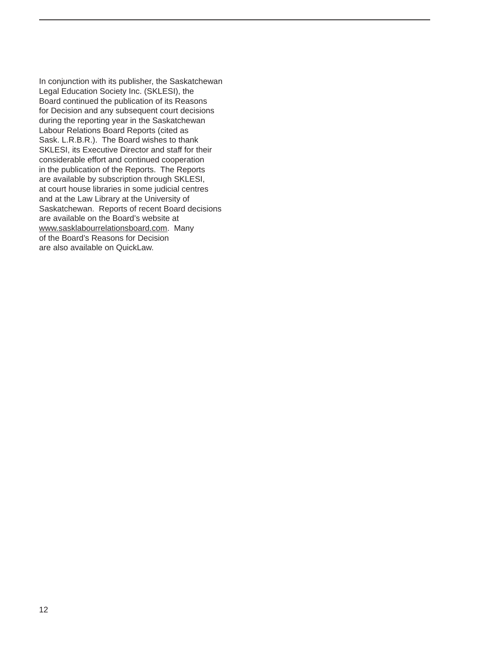In conjunction with its publisher, the Saskatchewan Legal Education Society Inc. (SKLESI), the Board continued the publication of its Reasons for Decision and any subsequent court decisions during the reporting year in the Saskatchewan Labour Relations Board Reports (cited as Sask. L.R.B.R.). The Board wishes to thank SKLESI, its Executive Director and staff for their considerable effort and continued cooperation in the publication of the Reports. The Reports are available by subscription through SKLESI, at court house libraries in some judicial centres and at the Law Library at the University of Saskatchewan. Reports of recent Board decisions are available on the Board's website at www.sasklabourrelationsboard.com. Many of the Board's Reasons for Decision are also available on QuickLaw.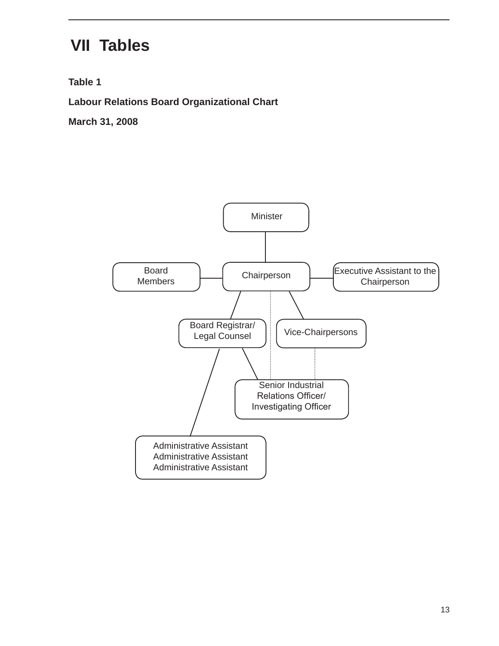### **VII Tables**

**Table 1**

**Labour Relations Board Organizational Chart**

**March 31, 2008**

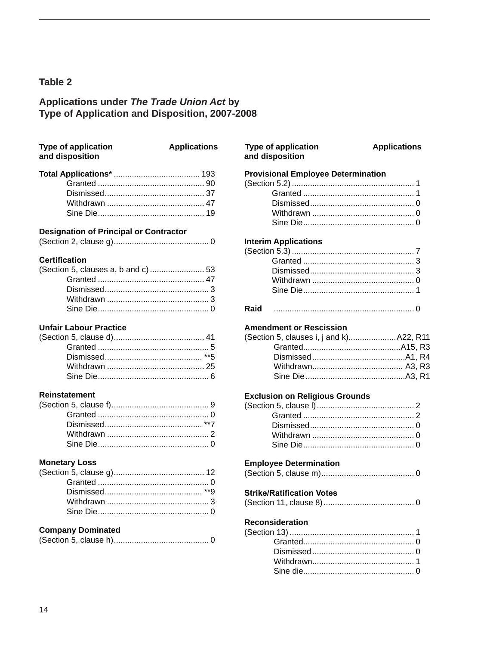# Applications under The Trade Union Act by<br>Type of Application and Disposition, 2007-2008

| <b>Type of application</b><br>and disposition | <b>Applications</b> |
|-----------------------------------------------|---------------------|
|                                               |                     |
|                                               |                     |
|                                               |                     |
|                                               |                     |
|                                               |                     |

### **Designation of Principal or Contractor**

|--|--|--|

### **Certification**

| (Section 5, clauses a, b and c)  53 |  |
|-------------------------------------|--|
|                                     |  |
|                                     |  |
|                                     |  |
|                                     |  |
|                                     |  |

### **Unfair Labour Practice**

#### **Reinstatement**

### **Monetary Loss**

### **Company Dominated**

|--|--|--|

| <b>Type of application</b><br>and disposition | <b>Applications</b> |
|-----------------------------------------------|---------------------|
| <b>Provisional Employee Determination</b>     |                     |
|                                               |                     |
|                                               |                     |
|                                               |                     |
|                                               |                     |
| <b>Interim Applications</b>                   |                     |
|                                               |                     |
|                                               |                     |
|                                               |                     |
|                                               |                     |
|                                               |                     |
| <b>Raid</b>                                   |                     |
| <b>Amendment or Rescission</b>                |                     |
| (Section 5, clauses i, j and k) A22, R11      |                     |
|                                               |                     |
|                                               |                     |
|                                               |                     |
|                                               |                     |
| <b>Exclusion on Religious Grounds</b>         |                     |
|                                               |                     |
|                                               |                     |
|                                               |                     |
|                                               |                     |
|                                               |                     |
| <b>Employee Determination</b>                 |                     |
|                                               |                     |
| <b>Strike/Ratification Votes</b>              |                     |
|                                               |                     |

### Reconsideration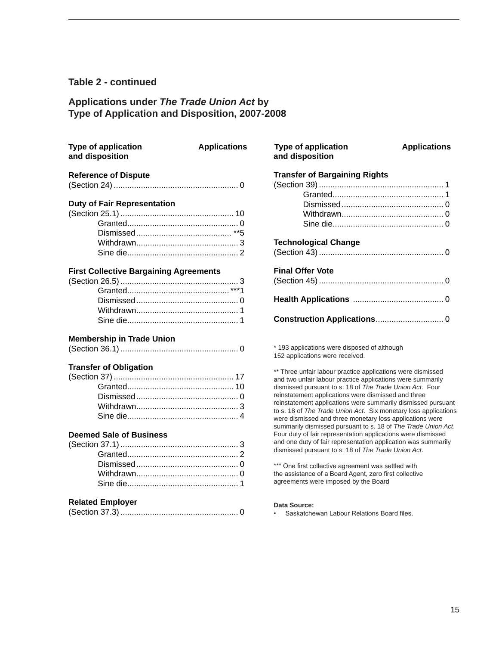#### **Table 2 - continued**

### **Applications under** *The Trade Union Act* **by Type of Application and Disposition, 2007-2008**

| <b>Type of application</b><br>and disposition | <b>Applications</b> | <b>Type of application</b><br>and disposition                                                                                 | <b>Applications</b> |
|-----------------------------------------------|---------------------|-------------------------------------------------------------------------------------------------------------------------------|---------------------|
| <b>Reference of Dispute</b>                   |                     | <b>Transfer of Bargaining Rights</b>                                                                                          |                     |
|                                               |                     |                                                                                                                               |                     |
|                                               |                     |                                                                                                                               |                     |
| <b>Duty of Fair Representation</b>            |                     |                                                                                                                               |                     |
|                                               |                     |                                                                                                                               |                     |
|                                               |                     |                                                                                                                               |                     |
|                                               |                     |                                                                                                                               |                     |
|                                               |                     | <b>Technological Change</b>                                                                                                   |                     |
|                                               |                     |                                                                                                                               |                     |
| <b>First Collective Bargaining Agreements</b> |                     | <b>Final Offer Vote</b>                                                                                                       |                     |
|                                               |                     |                                                                                                                               |                     |
|                                               |                     |                                                                                                                               |                     |
|                                               |                     |                                                                                                                               |                     |
|                                               |                     |                                                                                                                               |                     |
|                                               |                     |                                                                                                                               |                     |
| <b>Membership in Trade Union</b>              |                     |                                                                                                                               |                     |
|                                               |                     | * 193 applications were disposed of although<br>152 applications were received.                                               |                     |
| <b>Transfer of Obligation</b>                 |                     | ** Three unfair labour practice applications were dismissed                                                                   |                     |
|                                               |                     | and two unfair labour practice applications were summarily                                                                    |                     |
|                                               |                     | dismissed pursuant to s. 18 of The Trade Union Act. Four                                                                      |                     |
|                                               |                     | reinstatement applications were dismissed and three                                                                           |                     |
|                                               |                     | reinstatement applications were summarily dismissed pursuar<br>to s. 18 of The Trade Union Act. Six monetary loss application |                     |
|                                               |                     | were dismissed and three monetary loss applications were                                                                      |                     |
|                                               |                     | summarily dismissed pursuant to s. 18 of The Trade Union Ac                                                                   |                     |
| <b>Deemed Sale of Business</b>                |                     | Four duty of fair representation applications were dismissed                                                                  |                     |
|                                               |                     | and one duty of fair representation application was summarily                                                                 |                     |
|                                               |                     | dismissed pursuant to s. 18 of The Trade Union Act.                                                                           |                     |
|                                               |                     | *** One first collective agreement was settled with                                                                           |                     |
|                                               |                     | the assistance of a Board Agent, zero first collective                                                                        |                     |
|                                               |                     | agreements were imposed by the Board                                                                                          |                     |
| <b>Related Employer</b>                       |                     | Data Source:                                                                                                                  |                     |
|                                               |                     | Saskatchewan Labour Relations Board files.                                                                                    |                     |
|                                               |                     |                                                                                                                               |                     |

### **Transfer of Bargaining Rights** (Section 39)....................................................... 1 Granted................................................. 1 Dismissed............................................. 0 Withdrawn............................................. 0 Sine die................................................. 0 **Technological Change** (Section 43)....................................................... 0 **Final Offer Vote** (Section 45)....................................................... 0 **Health Applications** ........................................ 0

#### Source: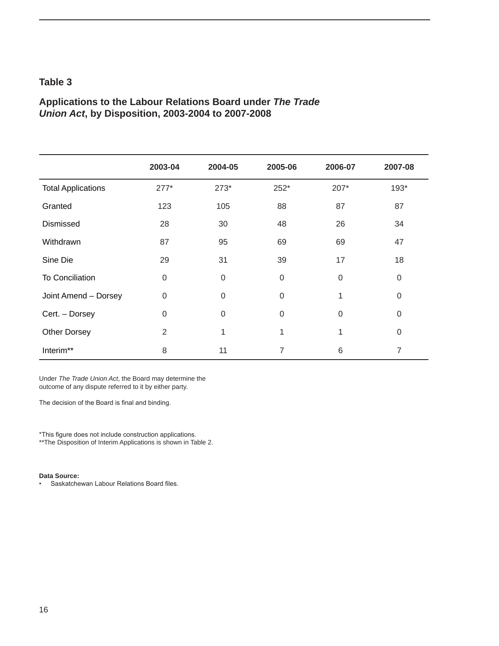### **Applications to the Labour Relations Board under** *The Trade Union Act***, by Disposition, 2003-2004 to 2007-2008**

|                           | 2003-04          | 2004-05  | 2005-06          | 2006-07  | 2007-08     |
|---------------------------|------------------|----------|------------------|----------|-------------|
| <b>Total Applications</b> | $277*$           | $273*$   | 252*             | 207*     | 193*        |
| Granted                   | 123              | 105      | 88               | 87       | 87          |
| Dismissed                 | 28               | 30       | 48               | 26       | 34          |
| Withdrawn                 | 87               | 95       | 69               | 69       | 47          |
| Sine Die                  | 29               | 31       | 39               | 17       | 18          |
| <b>To Conciliation</b>    | $\mathbf 0$      | $\Omega$ | $\boldsymbol{0}$ | 0        | $\mathbf 0$ |
| Joint Amend - Dorsey      | $\boldsymbol{0}$ | $\Omega$ | $\mathbf 0$      | 1        | $\Omega$    |
| Cert. - Dorsey            | 0                | $\Omega$ | $\mathbf 0$      | $\Omega$ | 0           |
| <b>Other Dorsey</b>       | $\overline{2}$   | 1        | 1                | 1        | 0           |
| Interim**                 | 8                | 11       | 7                | 6        | 7           |

Under *The Trade Union Act*, the Board may determine the outcome of any dispute referred to it by either party.

The decision of the Board is final and binding.

\*This figure does not include construction applications. \*\*The Disposition of Interim Applications is shown in Table 2.

#### **Data Source:**

• Saskatchewan Labour Relations Board files.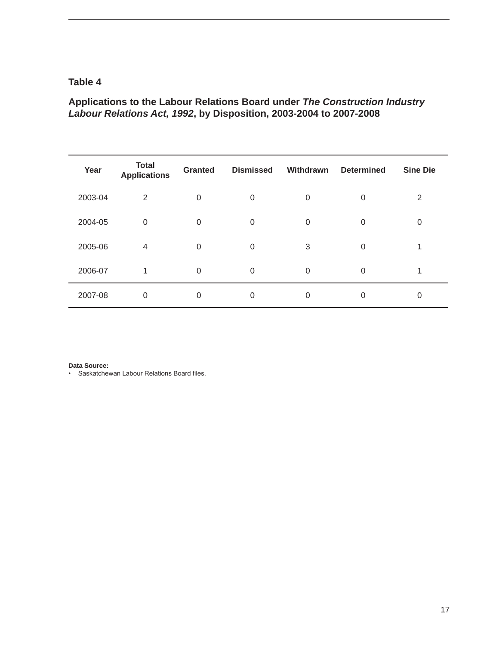### **Applications to the Labour Relations Board under** *The Construction Industry Labour Relations Act, 1992***, by Disposition, 2003-2004 to 2007-2008**

| Year    | <b>Total</b><br><b>Applications</b> | <b>Granted</b>   | <b>Dismissed</b> | Withdrawn | <b>Determined</b> | <b>Sine Die</b> |
|---------|-------------------------------------|------------------|------------------|-----------|-------------------|-----------------|
| 2003-04 | 2                                   | 0                | 0                | 0         | 0                 | 2               |
| 2004-05 | $\mathbf 0$                         | 0                | 0                | 0         | 0                 | 0               |
| 2005-06 | 4                                   | 0                | 0                | 3         | 0                 |                 |
| 2006-07 | 1                                   | $\boldsymbol{0}$ | 0                | 0         | 0                 |                 |
| 2007-08 | $\mathbf 0$                         | 0                | 0                | 0         | 0                 | 0               |

**Data Source:** 

• Saskatchewan Labour Relations Board files.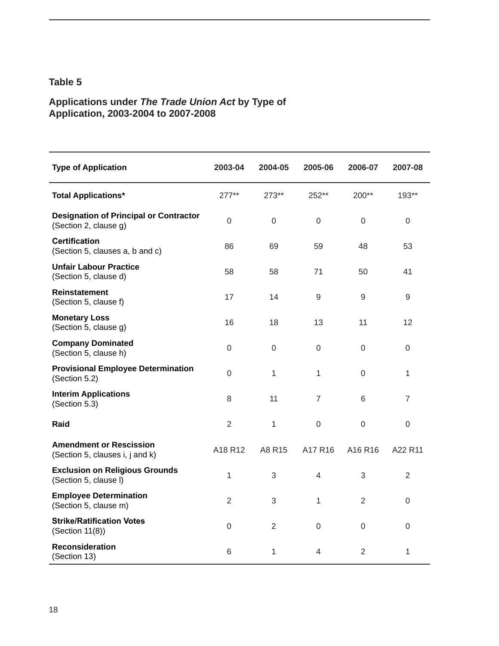### **Applications under** *The Trade Union Act* **by Type of Application, 2003-2004 to 2007-2008**

| <b>Type of Application</b>                                             | 2003-04          | 2004-05          | 2005-06          | 2006-07          | 2007-08          |
|------------------------------------------------------------------------|------------------|------------------|------------------|------------------|------------------|
| <b>Total Applications*</b>                                             | $277**$          | $273**$          | 252**            | 200**            | 193**            |
| <b>Designation of Principal or Contractor</b><br>(Section 2, clause g) | $\mathbf 0$      | $\mathbf 0$      | $\mathbf 0$      | 0                | $\boldsymbol{0}$ |
| <b>Certification</b><br>(Section 5, clauses a, b and c)                | 86               | 69               | 59               | 48               | 53               |
| <b>Unfair Labour Practice</b><br>(Section 5, clause d)                 | 58               | 58               | 71               | 50               | 41               |
| Reinstatement<br>(Section 5, clause f)                                 | 17               | 14               | $\mathsf 9$      | $9\,$            | $\mathsf 9$      |
| <b>Monetary Loss</b><br>(Section 5, clause g)                          | 16               | 18               | 13               | 11               | 12               |
| <b>Company Dominated</b><br>(Section 5, clause h)                      | 0                | $\boldsymbol{0}$ | 0                | 0                | $\boldsymbol{0}$ |
| <b>Provisional Employee Determination</b><br>(Section 5.2)             | $\boldsymbol{0}$ | 1                | 1                | 0                | 1                |
| <b>Interim Applications</b><br>(Section 5.3)                           | 8                | 11               | $\overline{7}$   | 6                | $\overline{7}$   |
| Raid                                                                   | $\overline{2}$   | $\mathbf{1}$     | $\boldsymbol{0}$ | $\boldsymbol{0}$ | $\boldsymbol{0}$ |
| <b>Amendment or Rescission</b><br>(Section 5, clauses i, j and k)      | A18 R12          | A8 R15           | A17 R16          | A16 R16          | A22 R11          |
| <b>Exclusion on Religious Grounds</b><br>(Section 5, clause I)         | $\mathbf{1}$     | 3                | $\overline{4}$   | 3                | $\overline{2}$   |
| <b>Employee Determination</b><br>(Section 5, clause m)                 | $\overline{2}$   | 3                | $\mathbf{1}$     | $\overline{2}$   | $\mathbf 0$      |
| <b>Strike/Ratification Votes</b><br>(Section 11(8))                    | $\overline{0}$   | $\overline{2}$   | 0                | $\mathbf 0$      | $\mathbf 0$      |
| <b>Reconsideration</b><br>(Section 13)                                 | 6                | 1                | 4                | $\overline{2}$   | 1                |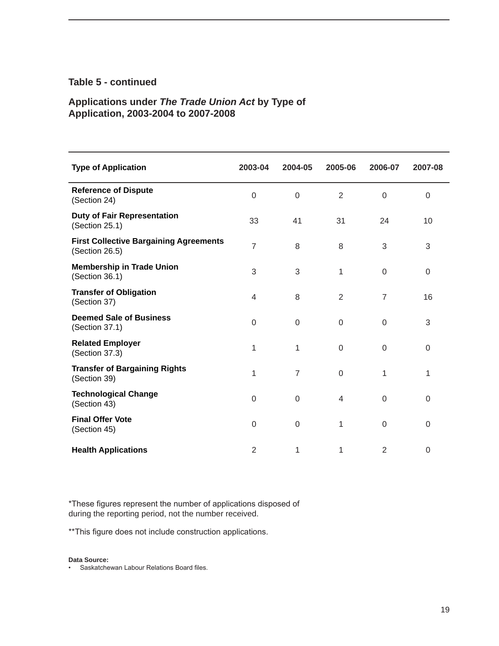### **Table 5 - continued**

### **Applications under** *The Trade Union Act* **by Type of Application, 2003-2004 to 2007-2008**

| <b>Type of Application</b>                                      | 2003-04        | 2004-05        | 2005-06        | 2006-07        | 2007-08 |
|-----------------------------------------------------------------|----------------|----------------|----------------|----------------|---------|
| <b>Reference of Dispute</b><br>(Section 24)                     | $\mathbf 0$    | $\mathbf 0$    | $\overline{2}$ | $\mathbf 0$    | 0       |
| <b>Duty of Fair Representation</b><br>(Section 25.1)            | 33             | 41             | 31             | 24             | 10      |
| <b>First Collective Bargaining Agreements</b><br>(Section 26.5) | $\overline{7}$ | 8              | 8              | 3              | 3       |
| <b>Membership in Trade Union</b><br>(Section 36.1)              | 3              | 3              | 1              | 0              | 0       |
| <b>Transfer of Obligation</b><br>(Section 37)                   | 4              | 8              | $\overline{2}$ | 7              | 16      |
| <b>Deemed Sale of Business</b><br>(Section 37.1)                | $\mathbf 0$    | 0              | $\Omega$       | $\mathbf 0$    | 3       |
| <b>Related Employer</b><br>(Section 37.3)                       | 1              | 1              | $\Omega$       | $\mathbf 0$    | 0       |
| <b>Transfer of Bargaining Rights</b><br>(Section 39)            | 1              | $\overline{7}$ | 0              | 1              | 1       |
| <b>Technological Change</b><br>(Section 43)                     | $\mathbf 0$    | $\mathbf 0$    | $\overline{4}$ | $\mathbf 0$    | 0       |
| <b>Final Offer Vote</b><br>(Section 45)                         | $\mathbf 0$    | 0              | 1              | $\mathbf 0$    | 0       |
| <b>Health Applications</b>                                      | $\overline{2}$ | 1              | 1              | $\overline{2}$ | 0       |

\*These figures represent the number of applications disposed of during the reporting period, not the number received.

\*\*This figure does not include construction applications.

#### **Data Source:**

• Saskatchewan Labour Relations Board files.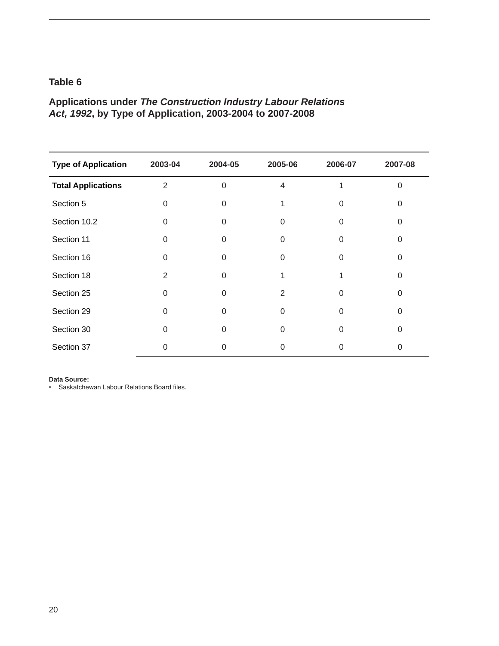### **Applications under** *The Construction Industry Labour Relations Act, 1992***, by Type of Application, 2003-2004 to 2007-2008**

| <b>Type of Application</b> | 2003-04        | 2004-05  | 2005-06      | 2006-07  | 2007-08 |
|----------------------------|----------------|----------|--------------|----------|---------|
| <b>Total Applications</b>  | $\overline{2}$ | $\Omega$ | 4            |          | ∩       |
| Section 5                  | $\Omega$       | 0        |              | 0        | n       |
| Section 10.2               | $\Omega$       | 0        | U            | 0        |         |
| Section 11                 | $\Omega$       | 0        | U            | $\Omega$ |         |
| Section 16                 | $\Omega$       | 0        | <sup>0</sup> | U        |         |
| Section 18                 | 2              | 0        |              |          | ∩       |
| Section 25                 | $\Omega$       | $\Omega$ | 2            | O        | ∩       |
| Section 29                 | $\Omega$       | 0        | U            |          |         |
| Section 30                 | $\Omega$       | 0        | $\Omega$     | $\Omega$ | U       |
| Section 37                 |                | 0        |              |          |         |

#### **Data Source:**

• Saskatchewan Labour Relations Board files.